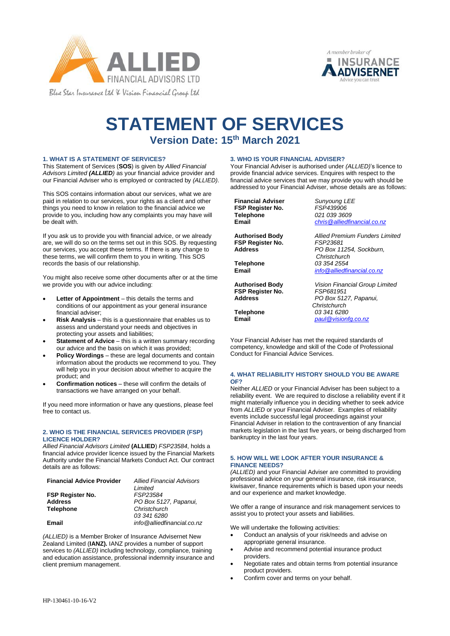



# **STATEMENT OF SERVICES Version Date: 15th March 2021**

# **1. WHAT IS A STATEMENT OF SERVICES?**

This Statement of Services (**SOS**) is given by *Allied Financial Advisors Limited (ALLIED)* as your financial advice provider and our Financial Adviser who is employed or contracted by *(ALLIED)*.

This SOS contains information about our services, what we are paid in relation to our services, your rights as a client and other things you need to know in relation to the financial advice we provide to you, including how any complaints you may have will be dealt with.

If you ask us to provide you with financial advice, or we already are, we will do so on the terms set out in this SOS. By requesting our services, you accept these terms. If there is any change to these terms, we will confirm them to you in writing. This SOS records the basis of our relationship.

You might also receive some other documents after or at the time we provide you with our advice including:

- **Letter of Appointment** this details the terms and conditions of our appointment as your general insurance financial adviser;
- **Risk Analysis** this is a questionnaire that enables us to assess and understand your needs and objectives in protecting your assets and liabilities;
- **Statement of Advice** this is a written summary recording our advice and the basis on which it was provided;
- **Policy Wordings** these are legal documents and contain information about the products we recommend to you. They will help you in your decision about whether to acquire the product; and
- **Confirmation notices** these will confirm the details of transactions we have arranged on your behalf.

If you need more information or have any questions, please feel free to contact us.

### **2. WHO IS THE FINANCIAL SERVICES PROVIDER (FSP) LICENCE HOLDER?**

*Allied Financial Advisors Limited* **(ALLIED**) *FSP23584*, holds a financial advice provider licence issued by the Financial Markets Authority under the Financial Markets Conduct Act. Our contract details are as follows:

| <b>Financial Advice Provider</b> | <b>Allied Financial Advisors</b> |
|----------------------------------|----------------------------------|
|                                  | Limited                          |
| <b>FSP Register No.</b>          | FSP23584                         |
| <b>Address</b>                   | PO Box 5127, Papanui,            |
| <b>Telephone</b>                 | Christchurch                     |
|                                  | 03 341 6280                      |
| Email                            | info@alliedfinancial.co.nz       |

*(ALLIED)* is a Member Broker of Insurance Advisernet New Zealand Limited (**IANZ).** IANZ provides a number of support services to *(ALLIED)* including technology, compliance, training and education assistance, professional indemnity insurance and client premium management.

# **3. WHO IS YOUR FINANCIAL ADVISER?**

Your Financial Adviser is authorised under *(ALLIED)*'s licence to provide financial advice services. Enquires with respect to the financial advice services that we may provide you with should be addressed to your Financial Adviser, whose details are as follows:

**Financial Adviser** *Sunyoung LEE*<br> **FSP Register No.** FSP439906 **FSP Register No. Telephone Email** 

**Authorised Body FSP Register No. Address**

**Telephone Email**

**Authorised Body FSP Register No. Address**

**Telephone Email**

*021 039 3609 [chris@alliedfinancial.co.nz](mailto:chris@alliedfinancial.co.nz)*

*Allied Premium Funders Limited FSP23681 PO Box 11254, Sockburn, Christchurch 03 354 2554 [info@alliedfinancial.co.nz](mailto:info@alliedfinancial.co.nz)*

*Vision Financial Group Limited FSP681951 PO Box 5127, Papanui, Christchurch 03 341 6280 [paul@visionfg.co.nz](mailto:paul@visionfg.co.nz)*

Your Financial Adviser has met the required standards of competency, knowledge and skill of the Code of Professional Conduct for Financial Advice Services.

# **4. WHAT RELIABILITY HISTORY SHOULD YOU BE AWARE OF?**

Neither *ALLIED* or your Financial Adviser has been subject to a reliability event. We are required to disclose a reliability event if it might materially influence you in deciding whether to seek advice from *ALLIED* or your Financial Adviser. Examples of reliability events include successful legal proceedings against your Financial Adviser in relation to the contravention of any financial markets legislation in the last five years, or being discharged from bankruptcy in the last four years.

# **5. HOW WILL WE LOOK AFTER YOUR INSURANCE & FINANCE NEEDS?**

*(ALLIED)* and your Financial Adviser are committed to providing professional advice on your general insurance, risk insurance, kiwisaver, finance requirements which is based upon your needs and our experience and market knowledge.

We offer a range of insurance and risk management services to assist you to protect your assets and liabilities.

We will undertake the following activities:

- Conduct an analysis of your risk/needs and advise on appropriate general insurance.
- Advise and recommend potential insurance product providers.
- Negotiate rates and obtain terms from potential insurance product providers.
- Confirm cover and terms on your behalf.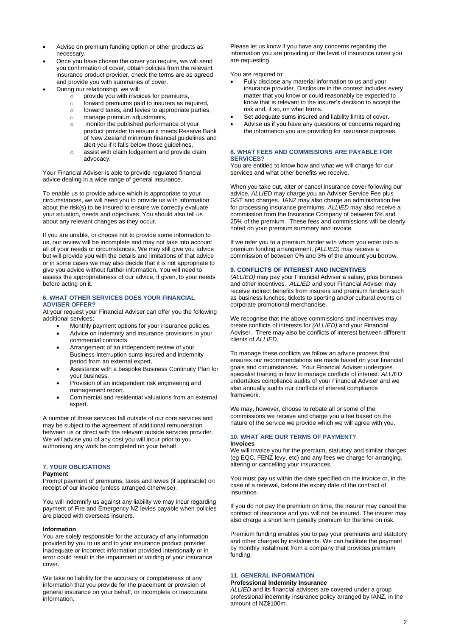- Advise on premium funding option or other products as necessary.
- Once you have chosen the cover you require, we will send you confirmation of cover, obtain policies from the relevant insurance product provider, check the terms are as agreed and provide you with summaries of cover.
- During our relationship, we will:
	- $\circ$  provide you with invoices for premiums,
	- $\circ$  forward premiums paid to insurers as required,<br> $\circ$  forward taxes, and levies to appropriate parties
	- forward taxes, and levies to appropriate parties,
	- o manage premium adjustments,
	- o monitor the published performance of your product provider to ensure it meets Reserve Bank of New Zealand minimum financial guidelines and alert you if it falls below those guidelines,
	- o assist with claim lodgement and provide claim advocacy.

Your Financial Adviser is able to provide regulated financial advice dealing in a wide range of general insurance.

To enable us to provide advice which is appropriate to your circumstances, we will need you to provide us with information about the risk(s) to be insured to ensure we correctly evaluate your situation, needs and objectives. You should also tell us about any relevant changes as they occur.

If you are unable, or choose not to provide some information to us, our review will be incomplete and may not take into account all of your needs or circumstances. We may still give you advice but will provide you with the details and limitations of that advice or in some cases we may also decide that it is not appropriate to give you advice without further information. You will need to assess the appropriateness of our advice, if given, to your needs before acting on it.

#### **6. WHAT OTHER SERVICES DOES YOUR FINANCIAL ADVISER OFFER?**

At your request your Financial Adviser can offer you the following additional services:

- Monthly payment options for your insurance policies.
- Advice on indemnity and insurance provisions in your commercial contracts.
- Arrangement of an independent review of your Business Interruption sums insured and indemnity period from an external expert.
- Assistance with a bespoke Business Continuity Plan for your business.
- Provision of an independent risk engineering and management report.
- Commercial and residential valuations from an external expert.

A number of these services fall outside of our core services and may be subject to the agreement of additional remuneration between us or direct with the relevant outside services provider. We will advise you of any cost you will incur prior to you authorising any work be completed on your behalf.

# **7. YOUR OBLIGATIONS**

#### **Payment**

Prompt payment of premiums, taxes and levies (if applicable) on receipt of our invoice (unless arranged otherwise).

You will indemnify us against any liability we may incur regarding payment of Fire and Emergency NZ levies payable when policies are placed with overseas insurers.

#### **Information**

You are solely responsible for the accuracy of any information provided by you to us and to your insurance product provider. Inadequate or incorrect information provided intentionally or in error could result in the impairment or voiding of your insurance cover.

We take no liability for the accuracy or completeness of any information that you provide for the placement or provision of general insurance on your behalf, or incomplete or inaccurate information.

Please let us know if you have any concerns regarding the information you are providing or the level of insurance cover you are requesting.

You are required to:

- Fully disclose any material information to us and your insurance provider. Disclosure in the context includes every matter that you know or could reasonably be expected to know that is relevant to the insurer's decision to accept the risk and, if so, on what terms.
- Set adequate sums insured and liability limits of cover.
- Advise us if you have any questions or concerns regarding the information you are providing for insurance purposes.

## **8. WHAT FEES AND COMMISSIONS ARE PAYABLE FOR SERVICES?**

You are entitled to know how and what we will charge for our services and what other benefits we receive.

When you take out, alter or cancel insurance cover following our advice, *ALLIED* may charge you an Adviser Service Fee plus GST and charges. IANZ may also charge an administration fee for processing insurance premiums. *ALLIED* may also receive a commission from the Insurance Company of between 5% and 25% of the premium. These fees and commissions will be clearly noted on your premium summary and invoice.

If we refer you to a premium funder with whom you enter into a premium funding arrangement, *(ALLIED)* may receive a commission of between 0% and 3% of the amount you borrow.

## **9. CONFLICTS OF INTEREST AND INCENTIVES**

*(ALLIED)* may pay your Financial Adviser a salary, plus bonuses and other incentives. *ALLIED* and your Financial Adviser may receive indirect benefits from insurers and premium funders such as business lunches, tickets to sporting and/or cultural events or corporate promotional merchandise.

We recognise that the above commissions and incentives may create conflicts of interests for *(ALLIED)* and your Financial Adviser. There may also be conflicts of interest between different clients of *ALLIED*.

To manage these conflicts we follow an advice process that ensures our recommendations are made based on your financial goals and circumstances. Your Financial Adviser undergoes specialist training in how to manage conflicts of interest. *ALLIED* undertakes compliance audits of your Financial Adviser and we also annually audits our conflicts of interest compliance framework.

We may, however, choose to rebate all or some of the commissions we receive and charge you a fee based on the nature of the service we provide which we will agree with you.

# **10. WHAT ARE OUR TERMS OF PAYMENT? Invoices**

We will invoice you for the premium, statutory and similar charges (eg EQC, FENZ levy, etc) and any fees we charge for arranging, altering or cancelling your insurances.

You must pay us within the date specified on the invoice or, in the case of a renewal, before the expiry date of the contract of insurance.

If you do not pay the premium on time, the insurer may cancel the contract of insurance and you will not be insured. The insurer may also charge a short term penalty premium for the time on risk.

Premium funding enables you to pay your premiums and statutory and other charges by instalments. We can facilitate the payment by monthly instalment from a company that provides premium funding.

# **11. GENERAL INFORMATION**

# **Professional Indemnity Insurance**

*ALLIED* and its financial advisers are covered under a group professional indemnity insurance policy arranged by IANZ, in the amount of NZ\$100m.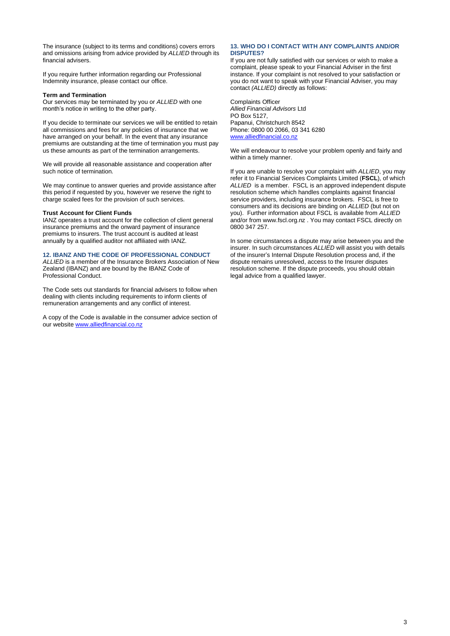The insurance (subject to its terms and conditions) covers errors and omissions arising from advice provided by *ALLIED* through its financial advisers.

If you require further information regarding our Professional Indemnity insurance, please contact our office.

#### **Term and Termination**

Our services may be terminated by you or *ALLIED* with one month's notice in writing to the other party.

If you decide to terminate our services we will be entitled to retain all commissions and fees for any policies of insurance that we have arranged on your behalf. In the event that any insurance premiums are outstanding at the time of termination you must pay us these amounts as part of the termination arrangements.

We will provide all reasonable assistance and cooperation after such notice of termination.

We may continue to answer queries and provide assistance after this period if requested by you, however we reserve the right to charge scaled fees for the provision of such services.

### **Trust Account for Client Funds**

IANZ operates a trust account for the collection of client general insurance premiums and the onward payment of insurance premiums to insurers. The trust account is audited at least annually by a qualified auditor not affiliated with IANZ.

#### **12. IBANZ AND THE CODE OF PROFESSIONAL CONDUCT**

*ALLIED* is a member of the Insurance Brokers Association of New Zealand (IBANZ) and are bound by the IBANZ Code of Professional Conduct.

The Code sets out standards for financial advisers to follow when dealing with clients including requirements to inform clients of remuneration arrangements and any conflict of interest.

A copy of the Code is available in the consumer advice section of our website [www.alliedfinancial.co.nz](http://www.alliedfinancial.co.nz/)

#### **13. WHO DO I CONTACT WITH ANY COMPLAINTS AND/OR DISPUTES?**

If you are not fully satisfied with our services or wish to make a complaint, please speak to your Financial Adviser in the first instance. If your complaint is not resolved to your satisfaction or you do not want to speak with your Financial Adviser, you may contact *(ALLIED)* directly as follows:

Complaints Officer *Allied Financial Advisors* Ltd PO Box 5127, Papanui, Christchurch 8542 Phone: 0800 00 2066, 03 341 6280 [www.alliedfinancial.co.nz](http://www.alliedfinancial.co.nz/)

We will endeavour to resolve your problem openly and fairly and within a timely manner.

If you are unable to resolve your complaint with *ALLIED*, you may refer it to Financial Services Complaints Limited (**FSCL**), of which *ALLIED* is a member. FSCL is an approved independent dispute resolution scheme which handles complaints against financial service providers, including insurance brokers. FSCL is free to consumers and its decisions are binding on *ALLIED* (but not on you). Further information about FSCL is available from *ALLIED* and/or from www.fscl.org.nz . You may contact FSCL directly on 0800 347 257.

In some circumstances a dispute may arise between you and the insurer. In such circumstances *ALLIED* will assist you with details of the insurer's Internal Dispute Resolution process and, if the dispute remains unresolved, access to the Insurer disputes resolution scheme. If the dispute proceeds, you should obtain legal advice from a qualified lawyer.